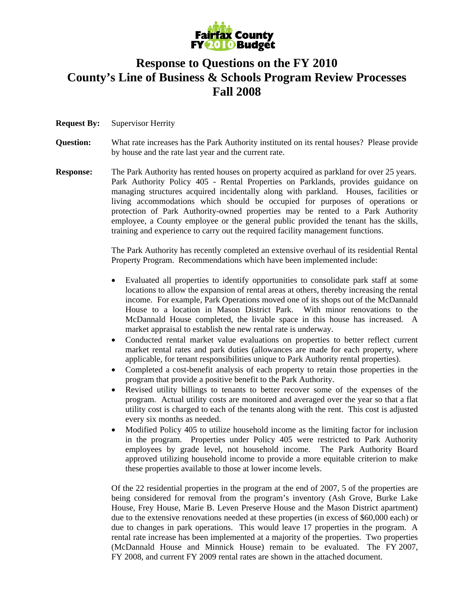

## **Response to Questions on the FY 2010 County's Line of Business & Schools Program Review Processes Fall 2008**

- **Request By:** Supervisor Herrity
- **Question:** What rate increases has the Park Authority instituted on its rental houses? Please provide by house and the rate last year and the current rate.
- **Response:** The Park Authority has rented houses on property acquired as parkland for over 25 years. Park Authority Policy 405 - Rental Properties on Parklands, provides guidance on managing structures acquired incidentally along with parkland. Houses, facilities or living accommodations which should be occupied for purposes of operations or protection of Park Authority-owned properties may be rented to a Park Authority employee, a County employee or the general public provided the tenant has the skills, training and experience to carry out the required facility management functions.

The Park Authority has recently completed an extensive overhaul of its residential Rental Property Program. Recommendations which have been implemented include:

- Evaluated all properties to identify opportunities to consolidate park staff at some locations to allow the expansion of rental areas at others, thereby increasing the rental income. For example, Park Operations moved one of its shops out of the McDannald House to a location in Mason District Park. With minor renovations to the McDannald House completed, the livable space in this house has increased. A market appraisal to establish the new rental rate is underway.
- Conducted rental market value evaluations on properties to better reflect current market rental rates and park duties (allowances are made for each property, where applicable, for tenant responsibilities unique to Park Authority rental properties).
- Completed a cost-benefit analysis of each property to retain those properties in the program that provide a positive benefit to the Park Authority.
- Revised utility billings to tenants to better recover some of the expenses of the program. Actual utility costs are monitored and averaged over the year so that a flat utility cost is charged to each of the tenants along with the rent. This cost is adjusted every six months as needed.
- Modified Policy 405 to utilize household income as the limiting factor for inclusion in the program. Properties under Policy 405 were restricted to Park Authority employees by grade level, not household income. The Park Authority Board approved utilizing household income to provide a more equitable criterion to make these properties available to those at lower income levels.

Of the 22 residential properties in the program at the end of 2007, 5 of the properties are being considered for removal from the program's inventory (Ash Grove, Burke Lake House, Frey House, Marie B. Leven Preserve House and the Mason District apartment) due to the extensive renovations needed at these properties (in excess of \$60,000 each) or due to changes in park operations. This would leave 17 properties in the program. A rental rate increase has been implemented at a majority of the properties. Two properties (McDannald House and Minnick House) remain to be evaluated. The FY 2007, FY 2008, and current FY 2009 rental rates are shown in the attached document.